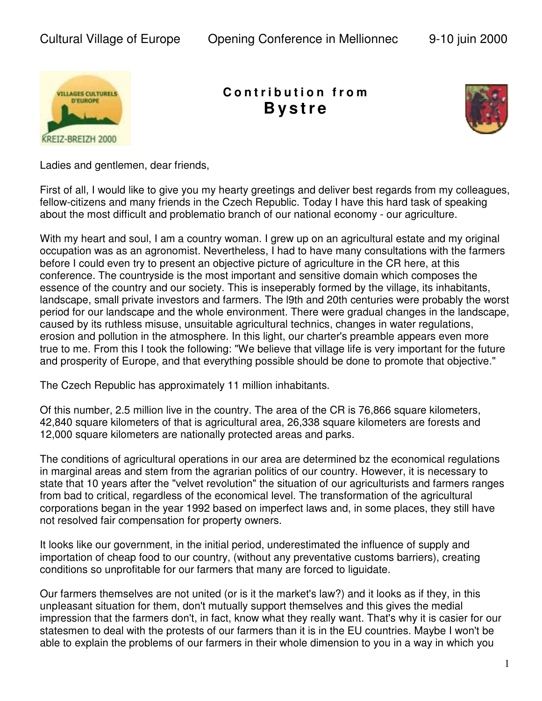

## **C o n t r i b u t i o n f r o m B y s tr e**



Ladies and gentlemen, dear friends,

First of all, I would like to give you my hearty greetings and deliver best regards from my colleagues, fellow-citizens and many friends in the Czech Republic. Today I have this hard task of speaking about the most difficult and problematio branch of our national economy - our agriculture.

With my heart and soul, I am a country woman. I grew up on an agricultural estate and my original occupation was as an agronomist. Nevertheless, I had to have many consultations with the farmers before I could even try to present an objective picture of agriculture in the CR here, at this conference. The countryside is the most important and sensitive domain which composes the essence of the country and our society. This is inseperably formed by the village, its inhabitants, landscape, small private investors and farmers. The l9th and 20th centuries were probably the worst period for our landscape and the whole environment. There were gradual changes in the landscape, caused by its ruthless misuse, unsuitable agricultural technics, changes in water regulations, erosion and pollution in the atmosphere. In this light, our charter's preamble appears even more true to me. From this I took the following: "We believe that village life is very important for the future and prosperity of Europe, and that everything possible should be done to promote that objective."

The Czech Republic has approximately 11 million inhabitants.

Of this number, 2.5 million live in the country. The area of the CR is 76,866 square kilometers, 42,840 square kilometers of that is agricultural area, 26,338 square kilometers are forests and 12,000 square kilometers are nationally protected areas and parks.

The conditions of agricultural operations in our area are determined bz the economical regulations in marginal areas and stem from the agrarian politics of our country. However, it is necessary to state that 10 years after the "velvet revolution" the situation of our agriculturists and farmers ranges from bad to critical, regardless of the economical level. The transformation of the agricultural corporations began in the year 1992 based on imperfect laws and, in some places, they still have not resolved fair compensation for property owners.

It looks like our government, in the initial period, underestimated the influence of supply and importation of cheap food to our country, (without any preventative customs barriers), creating conditions so unprofitable for our farmers that many are forced to liguidate.

Our farmers themselves are not united (or is it the market's law?) and it looks as if they, in this unpIeasant situation for them, don't mutually support themselves and this gives the medial impression that the farmers don't, in fact, know what they really want. That's why it is casier for our statesmen to deal with the protests of our farmers than it is in the EU countries. Maybe I won't be able to explain the problems of our farmers in their whole dimension to you in a way in which you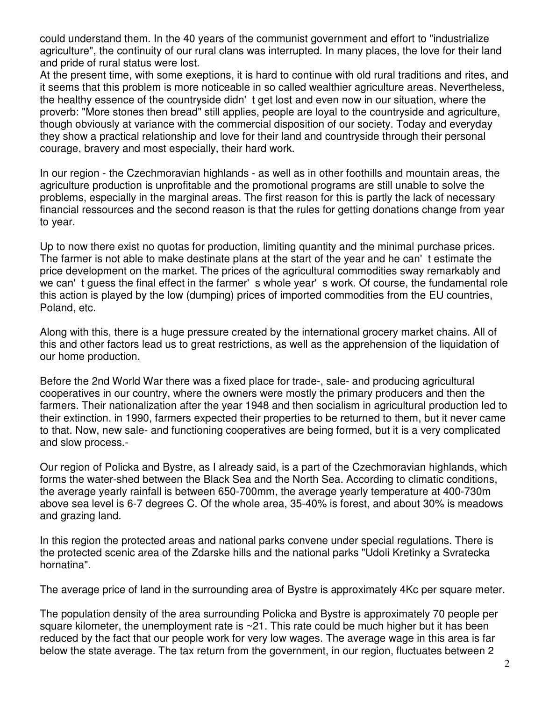could understand them. In the 40 years of the communist government and effort to "industrialize agriculture", the continuity of our rural clans was interrupted. In many places, the love for their land and pride of rural status were lost.

At the present time, with some exeptions, it is hard to continue with old rural traditions and rites, and it seems that this problem is more noticeable in so called wealthier agriculture areas. Nevertheless, the healthy essence of the countryside didn't get lost and even now in our situation, where the proverb: "More stones then bread" still applies, people are loyal to the countryside and agriculture, though obviously at variance with the commercial disposition of our society. Today and everyday they show a practical relationship and love for their land and countryside through their personal courage, bravery and most especially, their hard work.

In our region - the Czechmoravian highlands - as well as in other foothills and mountain areas, the agriculture production is unprofitable and the promotional programs are still unable to solve the problems, especially in the marginal areas. The first reason for this is partly the lack of necessary financial ressources and the second reason is that the rules for getting donations change from year to year.

Up to now there exist no quotas for production, limiting quantity and the minimal purchase prices. The farmer is not able to make destinate plans at the start of the year and he can't estimate the price development on the market. The prices of the agricultural commodities sway remarkably and we can't guess the final effect in the farmer's whole year's work. Of course, the fundamental role this action is played by the low (dumping) prices of imported commodities from the EU countries, Poland, etc.

Along with this, there is a huge pressure created by the international grocery market chains. All of this and other factors lead us to great restrictions, as well as the apprehension of the liquidation of our home production.

Before the 2nd World War there was a fixed place for trade-, sale- and producing agricultural cooperatives in our country, where the owners were mostly the primary producers and then the farmers. Their nationalization after the year 1948 and then socialism in agricultural production led to their extinction. in 1990, farmers expected their properties to be returned to them, but it never came to that. Now, new sale- and functioning cooperatives are being formed, but it is a very complicated and slow process.-

Our region of Policka and Bystre, as I already said, is a part of the Czechmoravian highlands, which forms the water-shed between the Black Sea and the North Sea. According to climatic conditions, the average yearly rainfall is between 650-700mm, the average yearly temperature at 400-730m above sea level is 6-7 degrees C. Of the whole area, 35-40% is forest, and about 30% is meadows and grazing land.

In this region the protected areas and national parks convene under special regulations. There is the protected scenic area of the Zdarske hills and the national parks "Udoli Kretinky a Svratecka hornatina".

The average price of land in the surrounding area of Bystre is approximately 4Kc per square meter.

The population density of the area surrounding Policka and Bystre is approximately 70 people per square kilometer, the unemployment rate is  $\sim$ 21. This rate could be much higher but it has been reduced by the fact that our people work for very low wages. The average wage in this area is far below the state average. The tax return from the government, in our region, fluctuates between 2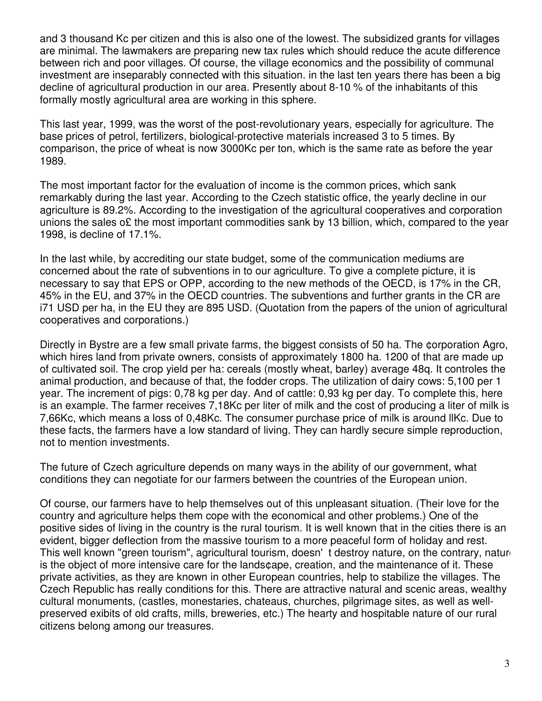and 3 thousand Kc per citizen and this is also one of the lowest. The subsidized grants for villages are minimal. The lawmakers are preparing new tax rules which should reduce the acute difference between rich and poor villages. Of course, the village economics and the possibility of communal investment are inseparably connected with this situation. in the last ten years there has been a big decline of agricultural production in our area. Presently about 8-10 % of the inhabitants of this formally mostly agricultural area are working in this sphere.

This last year, 1999, was the worst of the post-revolutionary years, especially for agriculture. The base prices of petrol, fertilizers, biological-protective materials increased 3 to 5 times. By comparison, the price of wheat is now 3000Kc per ton, which is the same rate as before the year 1989.

The most important factor for the evaluation of income is the common prices, which sank remarkably during the last year. According to the Czech statistic office, the yearly decline in our agriculture is 89.2%. According to the investigation of the agricultural cooperatives and corporation unions the sales o $\epsilon$  the most important commodities sank by 13 billion, which, compared to the year 1998, is decline of 17.1%.

In the last while, by accrediting our state budget, some of the communication mediums are concerned about the rate of subventions in to our agriculture. To give a complete picture, it is necessary to say that EPS or OPP, according to the new methods of the OECD, is 17% in the CR, 45% in the EU, and 37% in the OECD countries. The subventions and further grants in the CR are i71 USD per ha, in the EU they are 895 USD. (Quotation from the papers of the union of agricultural cooperatives and corporations.)

Directly in Bystre are a few small private farms, the biggest consists of 50 ha. The ¢orporation Agro, which hires land from private owners, consists of approximately 1800 ha. 1200 of that are made up of cultivated soil. The crop yield per ha: cereals (mostly wheat, barley) average 48q. It controles the animal production, and because of that, the fodder crops. The utilization of dairy cows: 5,100 per 1 year. The increment of pigs: 0,78 kg per day. And of cattle: 0,93 kg per day. To complete this, here is an example. The farmer receives 7,18Kc per liter of milk and the cost of producing a liter of milk is 7,66Kc, which means a loss of 0,48Kc. The consumer purchase price of milk is around llKc. Due to these facts, the farmers have a low standard of living. They can hardly secure simple reproduction, not to mention investments.

The future of Czech agriculture depends on many ways in the ability of our government, what conditions they can negotiate for our farmers between the countries of the European union.

Of course, our farmers have to help themselves out of this unpleasant situation. (Their love for the country and agriculture helps them cope with the economical and other problems.) One of the positive sides of living in the country is the rural tourism. It is well known that in the cities there is an evident, bigger deflection from the massive tourism to a more peaceful form of holiday and rest. This well known "green tourism", agricultural tourism, doesn' t destroy nature, on the contrary, nature is the object of more intensive care for the lands¢ape, creation, and the maintenance of it. These private activities, as they are known in other European countries, help to stabilize the villages. The Czech Republic has really conditions for this. There are attractive natural and scenic areas, wealthy cultural monuments, (castles, monestaries, chateaus, churches, pilgrimage sites, as well as wellpreserved exibits of old crafts, mills, breweries, etc.) The hearty and hospitable nature of our rural citizens belong among our treasures.